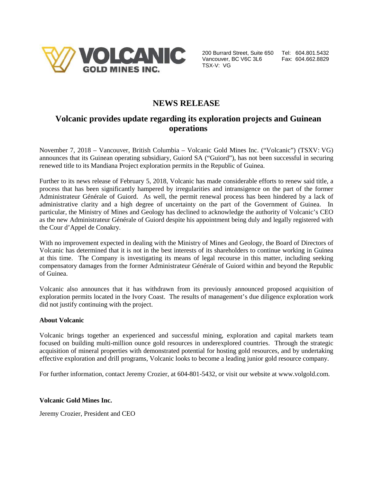

200 Burrard Street, Suite 650 Tel: 604.801.5432 Vancouver, BC V6C 3L6 Fax: 604.662.8829 TSX-V: VG

## **NEWS RELEASE**

## **Volcanic provides update regarding its exploration projects and Guinean operations**

November 7, 2018 – Vancouver, British Columbia – Volcanic Gold Mines Inc. ("Volcanic") (TSXV: VG) announces that its Guinean operating subsidiary, Guiord SA ("Guiord"), has not been successful in securing renewed title to its Mandiana Project exploration permits in the Republic of Guinea.

Further to its news release of February 5, 2018, Volcanic has made considerable efforts to renew said title, a process that has been significantly hampered by irregularities and intransigence on the part of the former Administrateur Générale of Guiord. As well, the permit renewal process has been hindered by a lack of administrative clarity and a high degree of uncertainty on the part of the Government of Guinea. In particular, the Ministry of Mines and Geology has declined to acknowledge the authority of Volcanic's CEO as the new Administrateur Générale of Guiord despite his appointment being duly and legally registered with the Cour d'Appel de Conakry.

With no improvement expected in dealing with the Ministry of Mines and Geology, the Board of Directors of Volcanic has determined that it is not in the best interests of its shareholders to continue working in Guinea at this time. The Company is investigating its means of legal recourse in this matter, including seeking compensatory damages from the former Administrateur Générale of Guiord within and beyond the Republic of Guinea.

Volcanic also announces that it has withdrawn from its previously announced proposed acquisition of exploration permits located in the Ivory Coast. The results of management's due diligence exploration work did not justify continuing with the project.

## **About Volcanic**

Volcanic brings together an experienced and successful mining, exploration and capital markets team focused on building multi-million ounce gold resources in underexplored countries. Through the strategic acquisition of mineral properties with demonstrated potential for hosting gold resources, and by undertaking effective exploration and drill programs, Volcanic looks to become a leading junior gold resource company.

For further information, contact Jeremy Crozier, at 604-801-5432, or visit our website at www.volgold.com.

**Volcanic Gold Mines Inc.**

Jeremy Crozier, President and CEO